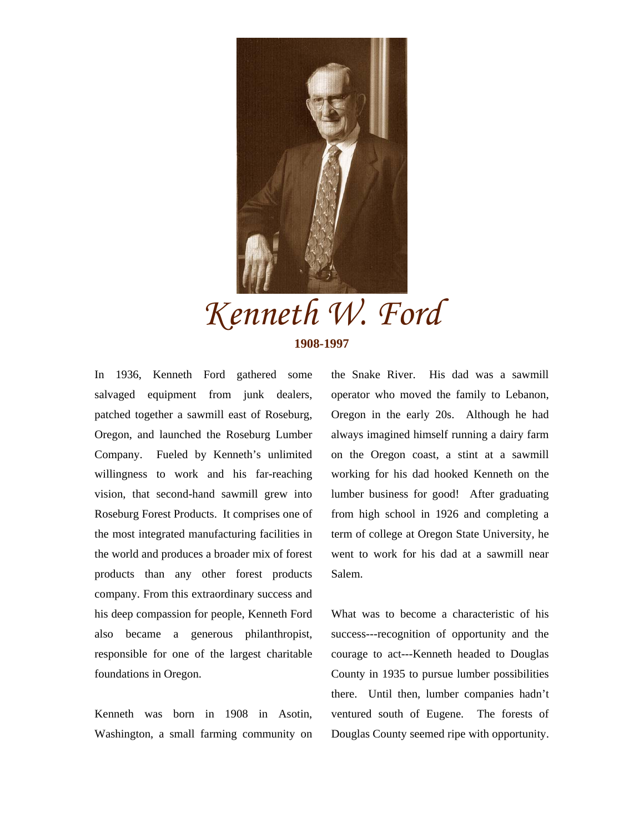

## *Kenneth W. Ford*  **1908-1997**

In 1936, Kenneth Ford gathered some salvaged equipment from junk dealers, patched together a sawmill east of Roseburg, Oregon, and launched the Roseburg Lumber Company. Fueled by Kenneth's unlimited willingness to work and his far-reaching vision, that second-hand sawmill grew into Roseburg Forest Products. It comprises one of the most integrated manufacturing facilities in the world and produces a broader mix of forest products than any other forest products company. From this extraordinary success and his deep compassion for people, Kenneth Ford also became a generous philanthropist, responsible for one of the largest charitable foundations in Oregon.

Kenneth was born in 1908 in Asotin, Washington, a small farming community on the Snake River. His dad was a sawmill operator who moved the family to Lebanon, Oregon in the early 20s. Although he had always imagined himself running a dairy farm on the Oregon coast, a stint at a sawmill working for his dad hooked Kenneth on the lumber business for good! After graduating from high school in 1926 and completing a term of college at Oregon State University, he went to work for his dad at a sawmill near Salem.

What was to become a characteristic of his success---recognition of opportunity and the courage to act---Kenneth headed to Douglas County in 1935 to pursue lumber possibilities there. Until then, lumber companies hadn't ventured south of Eugene. The forests of Douglas County seemed ripe with opportunity.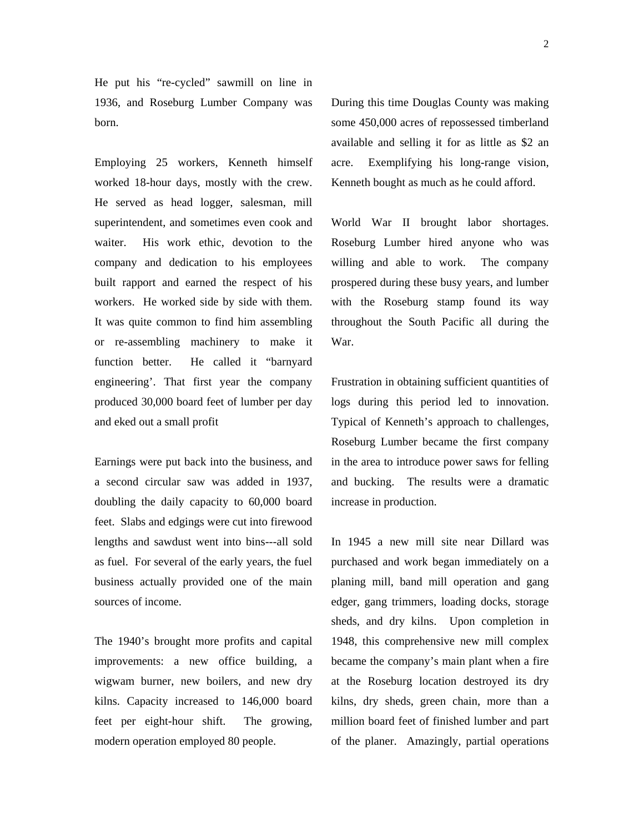He put his "re-cycled" sawmill on line in 1936, and Roseburg Lumber Company was born.

Employing 25 workers, Kenneth himself worked 18-hour days, mostly with the crew. He served as head logger, salesman, mill superintendent, and sometimes even cook and waiter. His work ethic, devotion to the company and dedication to his employees built rapport and earned the respect of his workers. He worked side by side with them. It was quite common to find him assembling or re-assembling machinery to make it function better. He called it "barnyard engineering'. That first year the company produced 30,000 board feet of lumber per day and eked out a small profit

Earnings were put back into the business, and a second circular saw was added in 1937, doubling the daily capacity to 60,000 board feet. Slabs and edgings were cut into firewood lengths and sawdust went into bins---all sold as fuel. For several of the early years, the fuel business actually provided one of the main sources of income.

The 1940's brought more profits and capital improvements: a new office building, a wigwam burner, new boilers, and new dry kilns. Capacity increased to 146,000 board feet per eight-hour shift. The growing, modern operation employed 80 people.

During this time Douglas County was making some 450,000 acres of repossessed timberland available and selling it for as little as \$2 an acre. Exemplifying his long-range vision, Kenneth bought as much as he could afford.

World War II brought labor shortages. Roseburg Lumber hired anyone who was willing and able to work. The company prospered during these busy years, and lumber with the Roseburg stamp found its way throughout the South Pacific all during the War.

Frustration in obtaining sufficient quantities of logs during this period led to innovation. Typical of Kenneth's approach to challenges, Roseburg Lumber became the first company in the area to introduce power saws for felling and bucking. The results were a dramatic increase in production.

In 1945 a new mill site near Dillard was purchased and work began immediately on a planing mill, band mill operation and gang edger, gang trimmers, loading docks, storage sheds, and dry kilns. Upon completion in 1948, this comprehensive new mill complex became the company's main plant when a fire at the Roseburg location destroyed its dry kilns, dry sheds, green chain, more than a million board feet of finished lumber and part of the planer. Amazingly, partial operations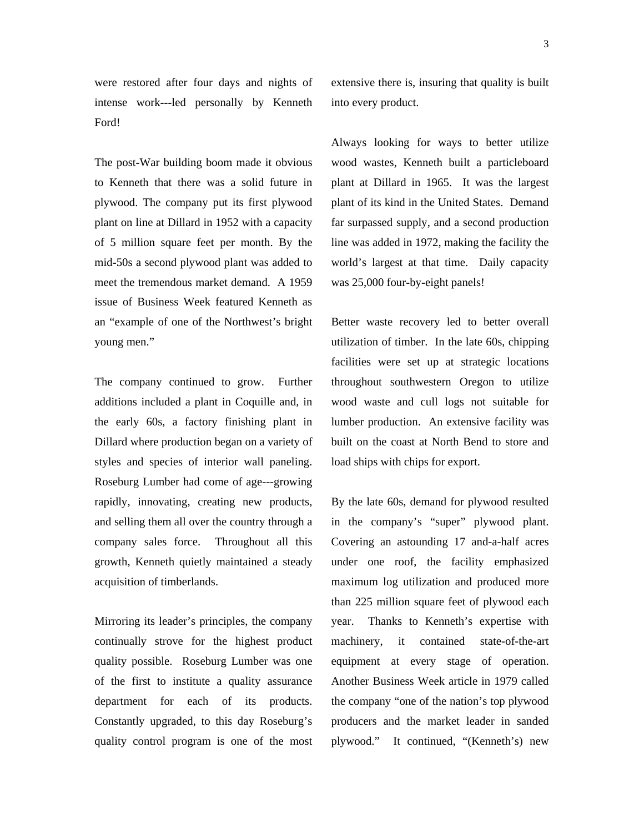were restored after four days and nights of intense work---led personally by Kenneth Ford!

The post-War building boom made it obvious to Kenneth that there was a solid future in plywood. The company put its first plywood plant on line at Dillard in 1952 with a capacity of 5 million square feet per month. By the mid-50s a second plywood plant was added to meet the tremendous market demand. A 1959 issue of Business Week featured Kenneth as an "example of one of the Northwest's bright young men."

The company continued to grow. Further additions included a plant in Coquille and, in the early 60s, a factory finishing plant in Dillard where production began on a variety of styles and species of interior wall paneling. Roseburg Lumber had come of age---growing rapidly, innovating, creating new products, and selling them all over the country through a company sales force. Throughout all this growth, Kenneth quietly maintained a steady acquisition of timberlands.

Mirroring its leader's principles, the company continually strove for the highest product quality possible. Roseburg Lumber was one of the first to institute a quality assurance department for each of its products. Constantly upgraded, to this day Roseburg's quality control program is one of the most extensive there is, insuring that quality is built into every product.

Always looking for ways to better utilize wood wastes, Kenneth built a particleboard plant at Dillard in 1965. It was the largest plant of its kind in the United States. Demand far surpassed supply, and a second production line was added in 1972, making the facility the world's largest at that time. Daily capacity was 25,000 four-by-eight panels!

Better waste recovery led to better overall utilization of timber. In the late 60s, chipping facilities were set up at strategic locations throughout southwestern Oregon to utilize wood waste and cull logs not suitable for lumber production. An extensive facility was built on the coast at North Bend to store and load ships with chips for export.

By the late 60s, demand for plywood resulted in the company's "super" plywood plant. Covering an astounding 17 and-a-half acres under one roof, the facility emphasized maximum log utilization and produced more than 225 million square feet of plywood each year. Thanks to Kenneth's expertise with machinery, it contained state-of-the-art equipment at every stage of operation. Another Business Week article in 1979 called the company "one of the nation's top plywood producers and the market leader in sanded plywood." It continued, "(Kenneth's) new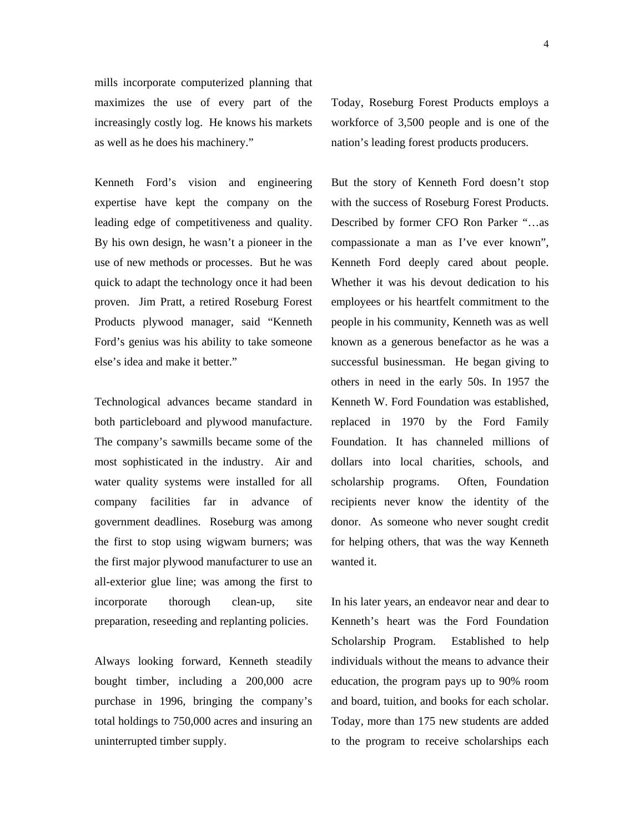mills incorporate computerized planning that maximizes the use of every part of the increasingly costly log. He knows his markets as well as he does his machinery."

Kenneth Ford's vision and engineering expertise have kept the company on the leading edge of competitiveness and quality. By his own design, he wasn't a pioneer in the use of new methods or processes. But he was quick to adapt the technology once it had been proven. Jim Pratt, a retired Roseburg Forest Products plywood manager, said "Kenneth Ford's genius was his ability to take someone else's idea and make it better."

Technological advances became standard in both particleboard and plywood manufacture. The company's sawmills became some of the most sophisticated in the industry. Air and water quality systems were installed for all company facilities far in advance of government deadlines. Roseburg was among the first to stop using wigwam burners; was the first major plywood manufacturer to use an all-exterior glue line; was among the first to incorporate thorough clean-up, site preparation, reseeding and replanting policies.

Always looking forward, Kenneth steadily bought timber, including a 200,000 acre purchase in 1996, bringing the company's total holdings to 750,000 acres and insuring an uninterrupted timber supply.

Today, Roseburg Forest Products employs a workforce of 3,500 people and is one of the nation's leading forest products producers.

But the story of Kenneth Ford doesn't stop with the success of Roseburg Forest Products. Described by former CFO Ron Parker "…as compassionate a man as I've ever known", Kenneth Ford deeply cared about people. Whether it was his devout dedication to his employees or his heartfelt commitment to the people in his community, Kenneth was as well known as a generous benefactor as he was a successful businessman. He began giving to others in need in the early 50s. In 1957 the Kenneth W. Ford Foundation was established, replaced in 1970 by the Ford Family Foundation. It has channeled millions of dollars into local charities, schools, and scholarship programs. Often, Foundation recipients never know the identity of the donor. As someone who never sought credit for helping others, that was the way Kenneth wanted it.

In his later years, an endeavor near and dear to Kenneth's heart was the Ford Foundation Scholarship Program. Established to help individuals without the means to advance their education, the program pays up to 90% room and board, tuition, and books for each scholar. Today, more than 175 new students are added to the program to receive scholarships each